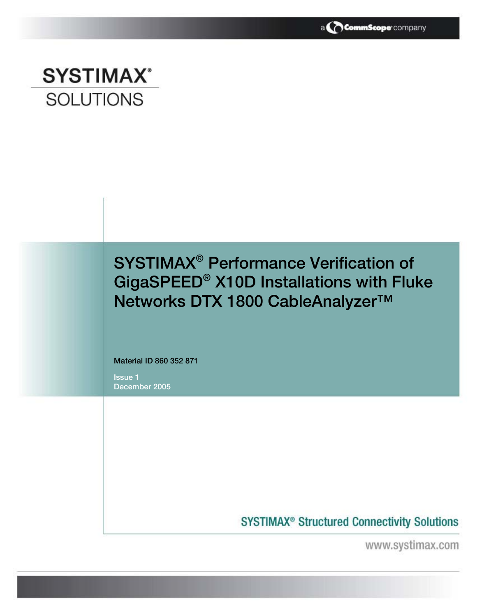

# **SYSTIMAX® SOLUTIONS**

# SYSTIMAX® Performance Verification of GigaSPEED® X10D Installations with Fluke Networks DTX 1800 CableAnalyzer™

Material ID 860 352 871

Issue 1 December 2005

**SYSTIMAX<sup>®</sup> Structured Connectivity Solutions** 

www.systimax.com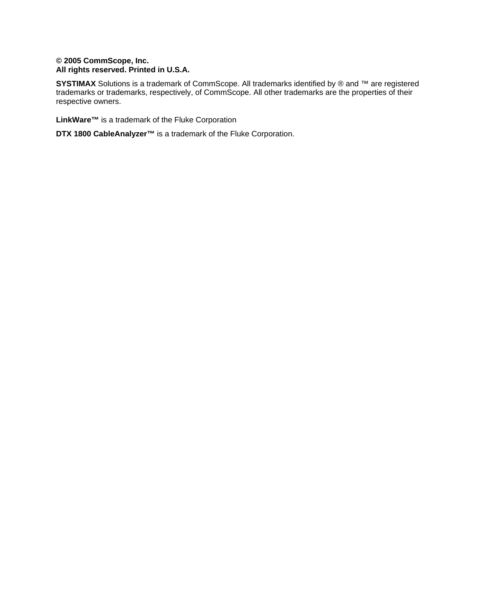#### **© 2005 CommScope, Inc. All rights reserved. Printed in U.S.A.**

**SYSTIMAX** Solutions is a trademark of CommScope. All trademarks identified by ® and ™ are registered trademarks or trademarks, respectively, of CommScope. All other trademarks are the properties of their respective owners.

**LinkWare™** is a trademark of the Fluke Corporation

**DTX 1800 CableAnalyzer™** is a trademark of the Fluke Corporation.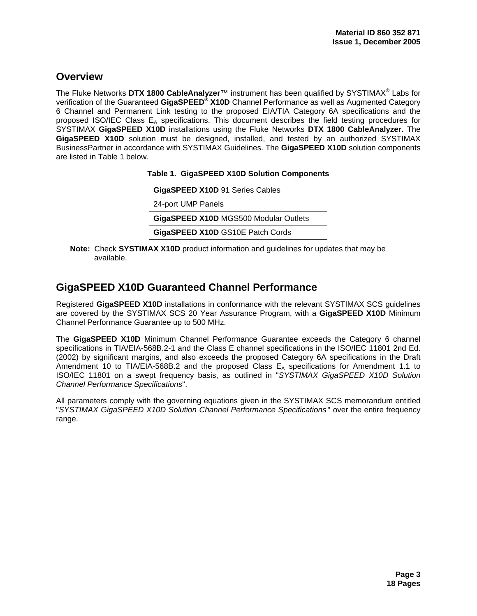# **Overview**

The Fluke Networks **DTX 1800 CableAnalyzer**™ instrument has been qualified by SYSTIMAX**®** Labs for verification of the Guaranteed **GigaSPEED® X10D** Channel Performance as well as Augmented Category 6 Channel and Permanent Link testing to the proposed EIA/TIA Category 6A specifications and the proposed ISO/IEC Class  $E_A$  specifications. This document describes the field testing procedures for SYSTIMAX **GigaSPEED X10D** installations using the Fluke Networks **DTX 1800 CableAnalyzer**. The **GigaSPEED X10D** solution must be designed, installed, and tested by an authorized SYSTIMAX BusinessPartner in accordance with SYSTIMAX Guidelines. The **GigaSPEED X10D** solution components are listed in [Table 1](#page-2-0) below.

<span id="page-2-0"></span>

| Table 1. GigaSPEED X10D Solution Components |  |  |  |  |
|---------------------------------------------|--|--|--|--|
|---------------------------------------------|--|--|--|--|

| GigaSPEED X10D 91 Series Cables       |
|---------------------------------------|
| 24-port UMP Panels                    |
| GigaSPEED X10D MGS500 Modular Outlets |
| GigaSPEED X10D GS10E Patch Cords      |
|                                       |

**Note:** Check **SYSTIMAX X10D** product information and guidelines for updates that may be available.

# **GigaSPEED X10D Guaranteed Channel Performance**

Registered **GigaSPEED X10D** installations in conformance with the relevant SYSTIMAX SCS guidelines are covered by the SYSTIMAX SCS 20 Year Assurance Program, with a **GigaSPEED X10D** Minimum Channel Performance Guarantee up to 500 MHz.

The **GigaSPEED X10D** Minimum Channel Performance Guarantee exceeds the Category 6 channel specifications in TIA/EIA-568B.2-1 and the Class E channel specifications in the ISO/IEC 11801 2nd Ed. (2002) by significant margins, and also exceeds the proposed Category 6A specifications in the Draft Amendment 10 to TIA/EIA-568B.2 and the proposed Class  $E_A$  specifications for Amendment 1.1 to ISO/IEC 11801 on a swept frequency basis, as outlined in "*SYSTIMAX GigaSPEED X10D Solution Channel Performance Specifications*".

All parameters comply with the governing equations given in the SYSTIMAX SCS memorandum entitled "*SYSTIMAX GigaSPEED X10D Solution Channel Performance Specifications* " over the entire frequency range.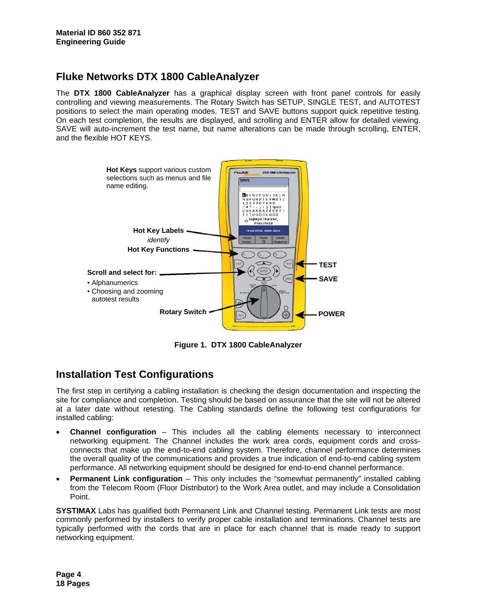# **Fluke Networks DTX 1800 CableAnalyzer**

The **DTX 1800 CableAnalyzer** has a graphical display screen with front panel controls for easily controlling and viewing measurements. The Rotary Switch has SETUP, SINGLE TEST, and AUTOTEST positions to select the main operating modes. TEST and SAVE buttons support quick repetitive testing. On each test completion, the results are displayed, and scrolling and ENTER allow for detailed viewing. SAVE will auto-increment the test name, but name alterations can be made through scrolling, ENTER, and the flexible HOT KEYS.



**Figure 1. DTX 1800 CableAnalyzer** 

# **Installation Test Configurations**

The first step in certifying a cabling installation is checking the design documentation and inspecting the site for compliance and completion. Testing should be based on assurance that the site will not be altered at a later date without retesting. The Cabling standards define the following test configurations for installed cabling:

- **Channel configuration** This includes all the cabling elements necessary to interconnect networking equipment. The Channel includes the work area cords, equipment cords and crossconnects that make up the end-to-end cabling system. Therefore, channel performance determines the overall quality of the communications and provides a true indication of end-to-end cabling system performance. All networking equipment should be designed for end-to-end channel performance.
- **Permanent Link configuration** This only includes the "somewhat permanently" installed cabling from the Telecom Room (Floor Distributor) to the Work Area outlet, and may include a Consolidation Point.

**SYSTIMAX** Labs has qualified both Permanent Link and Channel testing. Permanent Link tests are most commonly performed by installers to verify proper cable installation and terminations. Channel tests are typically performed with the cords that are in place for each channel that is made ready to support networking equipment.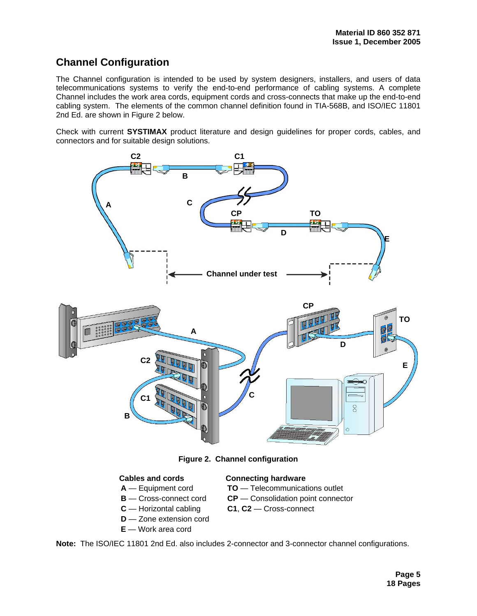# **Channel Configuration**

The Channel configuration is intended to be used by system designers, installers, and users of data telecommunications systems to verify the end-to-end performance of cabling systems. A complete Channel includes the work area cords, equipment cords and cross-connects that make up the end-to-end cabling system. The elements of the common channel definition found in TIA-568B, and ISO/IEC 11801 2nd Ed. are shown in [Figure 2](#page-4-0) below.

Check with current **SYSTIMAX** product literature and design guidelines for proper cords, cables, and connectors and for suitable design solutions.



<span id="page-4-0"></span>**Figure 2. Channel configuration** 

- 
- 
- 
- **D** Zone extension cord
- **E** Work area cord
- **Cables and cords Connecting hardware**
- **A** Equipment cord **TO** Telecommunications outlet
- **B** Cross-connect cord **CP** Consolidation point connector
- **C** Horizontal cabling **C1**, **C2** Cross-connect

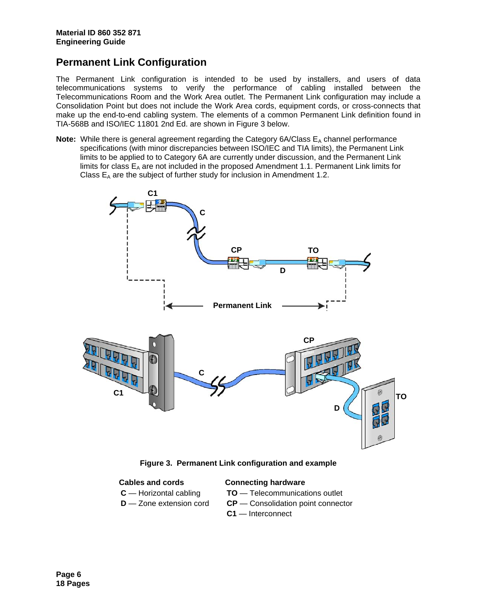# **Permanent Link Configuration**

The Permanent Link configuration is intended to be used by installers, and users of data telecommunications systems to verify the performance of cabling installed between the Telecommunications Room and the Work Area outlet. The Permanent Link configuration may include a Consolidation Point but does not include the Work Area cords, equipment cords, or cross-connects that make up the end-to-end cabling system. The elements of a common Permanent Link definition found in TIA-568B and ISO/IEC 11801 2nd Ed. are shown in [Figure 3](#page-5-0) below.

**Note:** While there is general agreement regarding the Category 6A/Class E<sub>A</sub> channel performance specifications (with minor discrepancies between ISO/IEC and TIA limits), the Permanent Link limits to be applied to to Category 6A are currently under discussion, and the Permanent Link limits for class  $E_A$  are not included in the proposed Amendment 1.1. Permanent Link limits for Class  $E_A$  are the subject of further study for inclusion in Amendment 1.2.



<span id="page-5-0"></span>

#### **Cables and cords Connecting hardware**

- 
- 
- **C** Horizontal cabling **TO** Telecommunications outlet
- **D** Zone extension cord **CP** Consolidation point connector
	- **C1** Interconnect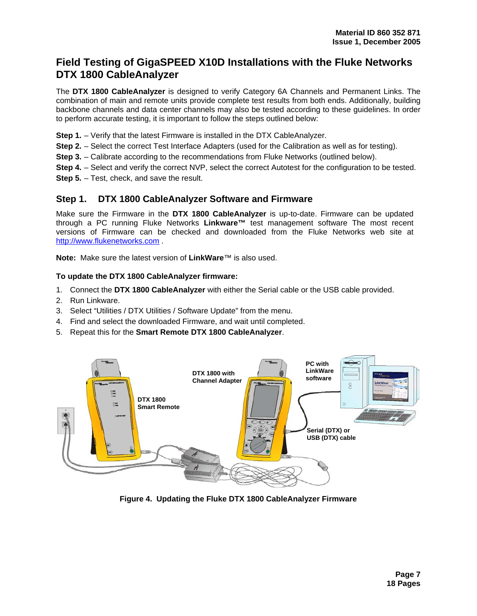# **Field Testing of GigaSPEED X10D Installations with the Fluke Networks DTX 1800 CableAnalyzer**

The **DTX 1800 CableAnalyzer** is designed to verify Category 6A Channels and Permanent Links. The combination of main and remote units provide complete test results from both ends. Additionally, building backbone channels and data center channels may also be tested according to these guidelines. In order to perform accurate testing, it is important to follow the steps outlined below:

- **Step 1.** Verify that the latest Firmware is installed in the DTX CableAnalyzer.
- **Step 2.** Select the correct Test Interface Adapters (used for the Calibration as well as for testing).
- **Step 3.** Calibrate according to the recommendations from Fluke Networks (outlined below).
- **Step 4.** Select and verify the correct NVP, select the correct Autotest for the configuration to be tested.
- **Step 5.**  Test, check, and save the result.

## **Step 1. DTX 1800 CableAnalyzer Software and Firmware**

Make sure the Firmware in the **DTX 1800 CableAnalyzer** is up-to-date. Firmware can be updated through a PC running Fluke Networks **Linkware™** test management software The most recent versions of Firmware can be checked and downloaded from the Fluke Networks web site at [http://www.flukenetworks.com](http://www.flukenetworks.com/) .

**Note:** Make sure the latest version of **LinkWare**™ is also used.

#### **To update the DTX 1800 CableAnalyzer firmware:**

- 1. Connect the **DTX 1800 CableAnalyzer** with either the Serial cable or the USB cable provided.
- 2. Run Linkware.
- 3. Select "Utilities / DTX Utilities / Software Update" from the menu.
- 4. Find and select the downloaded Firmware, and wait until completed.
- 5. Repeat this for the **Smart Remote DTX 1800 CableAnalyzer**.



### **Figure 4. Updating the Fluke DTX 1800 CableAnalyzer Firmware**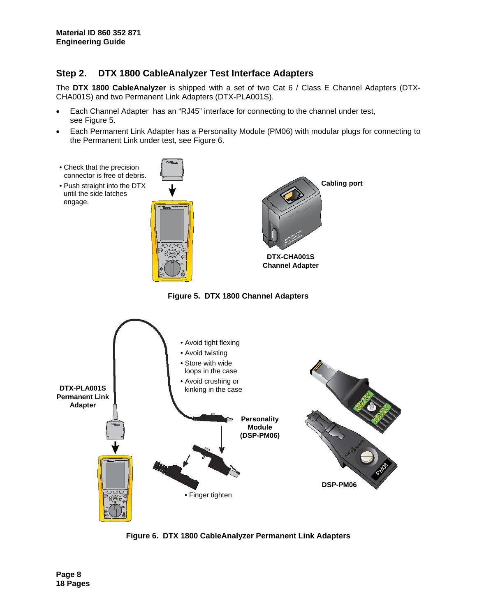# **Step 2. DTX 1800 CableAnalyzer Test Interface Adapters**

The **DTX 1800 CableAnalyzer** is shipped with a set of two Cat 6 / Class E Channel Adapters (DTX-CHA001S) and two Permanent Link Adapters (DTX-PLA001S).

- Each Channel Adapter has an "RJ45" interface for connecting to the channel under test, see [Figure 5.](#page-7-0)
- Each Permanent Link Adapter has a Personality Module (PM06) with modular plugs for connecting to the Permanent Link under test, see [Figure 6.](#page-7-1)
- Check that the precision connector is free of debris. • Push straight into the DTX until the side latches engage. ాల్  $\mathbb{C}\mathbb{B}$ d **DTX-CHA001S Channel Adapter Figure 5. DTX 1800 Channel Adapters**  • Avoid tight flexing • Avoid twisting • Store with wide loops in the case • Avoid crushing or **DTX-PLA001S a** kinking in the case **Permanent Link Adapter Personality Module (DSP-PM06)**

<span id="page-7-0"></span>**Cabling port**

<span id="page-7-1"></span>

• Finger tighten

**DSP-PM06**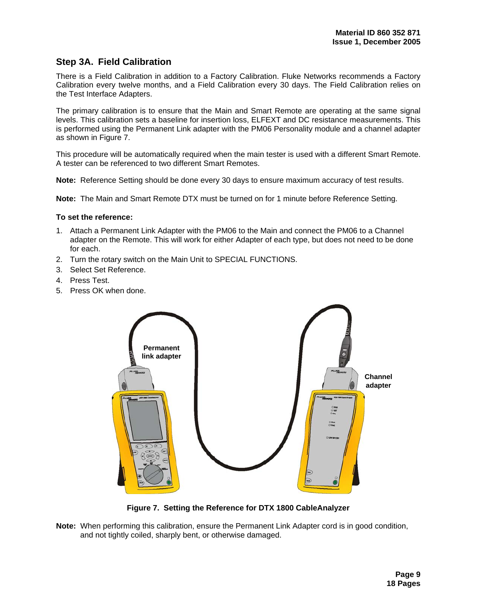# **Step 3A. Field Calibration**

There is a Field Calibration in addition to a Factory Calibration. Fluke Networks recommends a Factory Calibration every twelve months, and a Field Calibration every 30 days. The Field Calibration relies on the Test Interface Adapters.

The primary calibration is to ensure that the Main and Smart Remote are operating at the same signal levels. This calibration sets a baseline for insertion loss, ELFEXT and DC resistance measurements. This is performed using the Permanent Link adapter with the PM06 Personality module and a channel adapter as shown in [Figure 7.](#page-8-0)

This procedure will be automatically required when the main tester is used with a different Smart Remote. A tester can be referenced to two different Smart Remotes.

**Note:** Reference Setting should be done every 30 days to ensure maximum accuracy of test results.

**Note:** The Main and Smart Remote DTX must be turned on for 1 minute before Reference Setting.

#### **To set the reference:**

- 1. Attach a Permanent Link Adapter with the PM06 to the Main and connect the PM06 to a Channel adapter on the Remote. This will work for either Adapter of each type, but does not need to be done for each.
- 2. Turn the rotary switch on the Main Unit to SPECIAL FUNCTIONS.
- 3. Select Set Reference.
- 4. Press Test.
- 5. Press OK when done.



**Figure 7. Setting the Reference for DTX 1800 CableAnalyzer** 

<span id="page-8-0"></span>**Note:** When performing this calibration, ensure the Permanent Link Adapter cord is in good condition, and not tightly coiled, sharply bent, or otherwise damaged.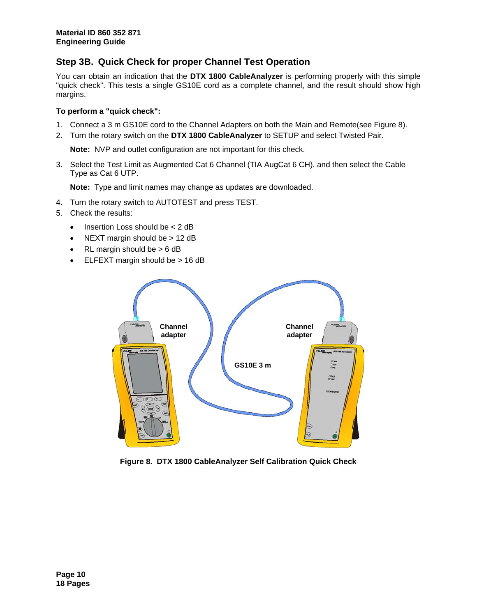# **Step 3B. Quick Check for proper Channel Test Operation**

You can obtain an indication that the **DTX 1800 CableAnalyzer** is performing properly with this simple "quick check". This tests a single GS10E cord as a complete channel, and the result should show high margins.

### **To perform a "quick check":**

- 1. Connect a 3 m GS10E cord to the Channel Adapters on both the Main and Remote(see [Figure 8\)](#page-9-0).
- 2. Turn the rotary switch on the **DTX 1800 CableAnalyzer** to SETUP and select Twisted Pair.

**Note:** NVP and outlet configuration are not important for this check.

3. Select the Test Limit as Augmented Cat 6 Channel (TIA AugCat 6 CH), and then select the Cable Type as Cat 6 UTP.

**Note:** Type and limit names may change as updates are downloaded.

- 4. Turn the rotary switch to AUTOTEST and press TEST.
- 5. Check the results:
	- Insertion Loss should be < 2 dB
	- NEXT margin should be > 12 dB
	- RL margin should be  $> 6$  dB
	- ELFEXT margin should be > 16 dB



<span id="page-9-0"></span>**Figure 8. DTX 1800 CableAnalyzer Self Calibration Quick Check**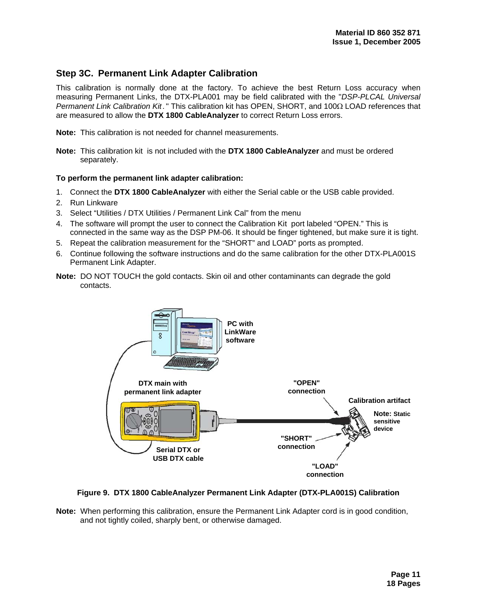# **Step 3C. Permanent Link Adapter Calibration**

This calibration is normally done at the factory. To achieve the best Return Loss accuracy when measuring Permanent Links, the DTX-PLA001 may be field calibrated with the "*DSP-PLCAL Universal Permanent Link Calibration Kit .*" This calibration kit has OPEN, SHORT, and 100Ω LOAD references that are measured to allow the **DTX 1800 CableAnalyzer** to correct Return Loss errors.

**Note:** This calibration is not needed for channel measurements.

**Note:** This calibration kit is not included with the **DTX 1800 CableAnalyzer** and must be ordered separately.

#### **To perform the permanent link adapter calibration:**

- 1. Connect the **DTX 1800 CableAnalyzer** with either the Serial cable or the USB cable provided.
- 2. Run Linkware
- 3. Select "Utilities / DTX Utilities / Permanent Link Cal" from the menu
- 4. The software will prompt the user to connect the Calibration Kit port labeled "OPEN." This is connected in the same way as the DSP PM-06. It should be finger tightened, but make sure it is tight.
- 5. Repeat the calibration measurement for the "SHORT" and LOAD" ports as prompted.
- 6. Continue following the software instructions and do the same calibration for the other DTX-PLA001S Permanent Link Adapter.
- **Note:** DO NOT TOUCH the gold contacts. Skin oil and other contaminants can degrade the gold contacts.



#### **Figure 9. DTX 1800 CableAnalyzer Permanent Link Adapter (DTX-PLA001S) Calibration**

**Note:** When performing this calibration, ensure the Permanent Link Adapter cord is in good condition, and not tightly coiled, sharply bent, or otherwise damaged.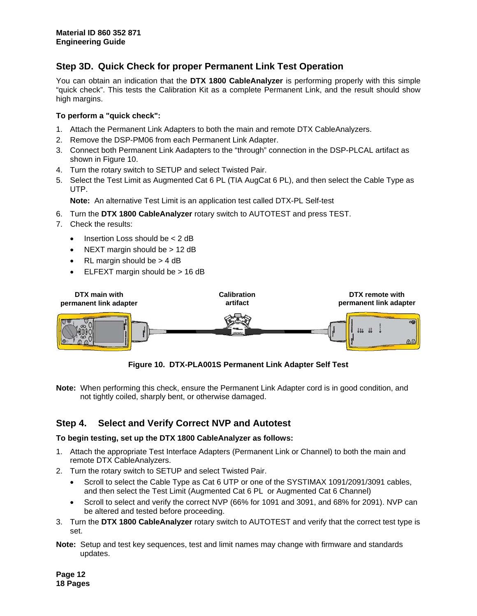# **Step 3D. Quick Check for proper Permanent Link Test Operation**

You can obtain an indication that the **DTX 1800 CableAnalyzer** is performing properly with this simple "quick check". This tests the Calibration Kit as a complete Permanent Link, and the result should show high margins.

#### **To perform a "quick check":**

- 1. Attach the Permanent Link Adapters to both the main and remote DTX CableAnalyzers.
- 2. Remove the DSP-PM06 from each Permanent Link Adapter.
- 3. Connect both Permanent Link Aadapters to the "through" connection in the DSP-PLCAL artifact as shown in [Figure 10.](#page-11-0)
- 4. Turn the rotary switch to SETUP and select Twisted Pair.
- 5. Select the Test Limit as Augmented Cat 6 PL (TIA AugCat 6 PL), and then select the Cable Type as UTP.

**Note:** An alternative Test Limit is an application test called DTX-PL Self-test

- 6. Turn the **DTX 1800 CableAnalyzer** rotary switch to AUTOTEST and press TEST.
- 7. Check the results:
	- Insertion Loss should be  $< 2$  dB
	- NEXT margin should be > 12 dB
	- RL margin should be  $>$  4 dB
	- ELFEXT margin should be > 16 dB



<span id="page-11-0"></span>**Figure 10. DTX-PLA001S Permanent Link Adapter Self Test** 

**Note:** When performing this check, ensure the Permanent Link Adapter cord is in good condition, and not tightly coiled, sharply bent, or otherwise damaged.

# **Step 4. Select and Verify Correct NVP and Autotest**

#### **To begin testing, set up the DTX 1800 CableAnalyzer as follows:**

- 1. Attach the appropriate Test Interface Adapters (Permanent Link or Channel) to both the main and remote DTX CableAnalyzers.
- 2. Turn the rotary switch to SETUP and select Twisted Pair.
	- Scroll to select the Cable Type as Cat 6 UTP or one of the SYSTIMAX 1091/2091/3091 cables, and then select the Test Limit (Augmented Cat 6 PL or Augmented Cat 6 Channel)
	- Scroll to select and verify the correct NVP (66% for 1091 and 3091, and 68% for 2091). NVP can be altered and tested before proceeding.
- 3. Turn the **DTX 1800 CableAnalyzer** rotary switch to AUTOTEST and verify that the correct test type is set.
- **Note:** Setup and test key sequences, test and limit names may change with firmware and standards updates.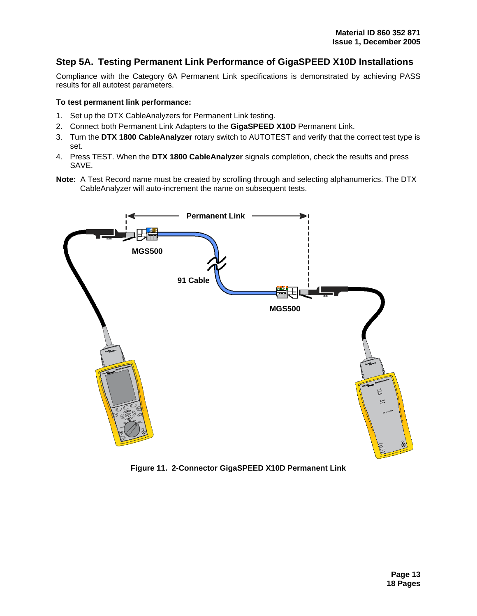# **Step 5A. Testing Permanent Link Performance of GigaSPEED X10D Installations**

Compliance with the Category 6A Permanent Link specifications is demonstrated by achieving PASS results for all autotest parameters.

#### **To test permanent link performance:**

- 1. Set up the DTX CableAnalyzers for Permanent Link testing.
- 2. Connect both Permanent Link Adapters to the **GigaSPEED X10D** Permanent Link.
- 3. Turn the **DTX 1800 CableAnalyzer** rotary switch to AUTOTEST and verify that the correct test type is set.
- 4. Press TEST. When the **DTX 1800 CableAnalyzer** signals completion, check the results and press SAVE.
- **Note:** A Test Record name must be created by scrolling through and selecting alphanumerics. The DTX CableAnalyzer will auto-increment the name on subsequent tests.



**Figure 11. 2-Connector GigaSPEED X10D Permanent Link**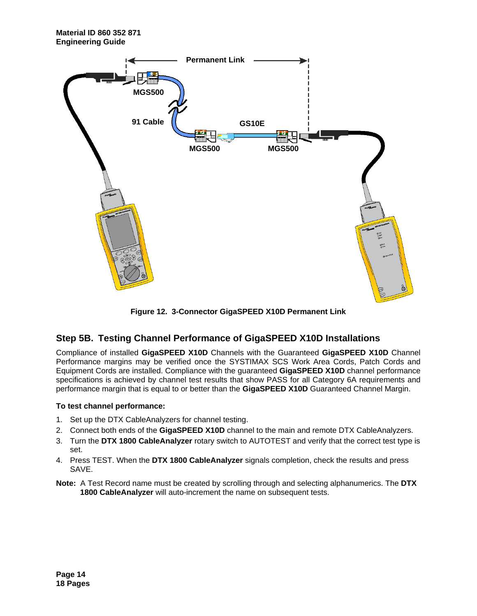

**Figure 12. 3-Connector GigaSPEED X10D Permanent Link** 

# **Step 5B. Testing Channel Performance of GigaSPEED X10D Installations**

Compliance of installed **GigaSPEED X10D** Channels with the Guaranteed **GigaSPEED X10D** Channel Performance margins may be verified once the SYSTIMAX SCS Work Area Cords, Patch Cords and Equipment Cords are installed. Compliance with the guaranteed **GigaSPEED X10D** channel performance specifications is achieved by channel test results that show PASS for all Category 6A requirements and performance margin that is equal to or better than the **GigaSPEED X10D** Guaranteed Channel Margin.

### **To test channel performance:**

- 1. Set up the DTX CableAnalyzers for channel testing.
- 2. Connect both ends of the **GigaSPEED X10D** channel to the main and remote DTX CableAnalyzers.
- 3. Turn the **DTX 1800 CableAnalyzer** rotary switch to AUTOTEST and verify that the correct test type is set.
- 4. Press TEST. When the **DTX 1800 CableAnalyzer** signals completion, check the results and press SAVE.
- **Note:** A Test Record name must be created by scrolling through and selecting alphanumerics. The **DTX 1800 CableAnalyzer** will auto-increment the name on subsequent tests.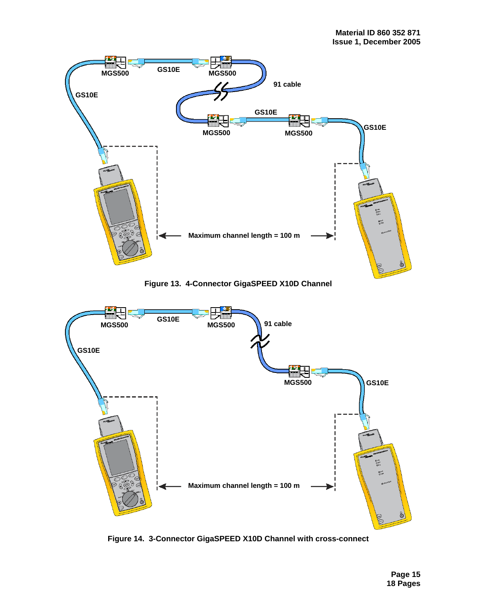





**Figure 14. 3-Connector GigaSPEED X10D Channel with cross-connect**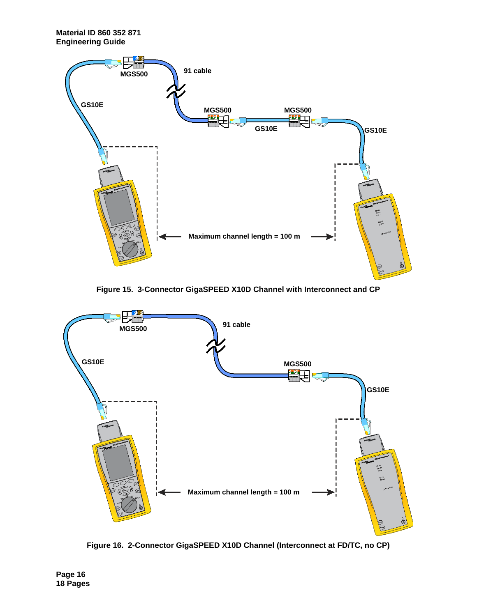**Material ID 860 352 871 Engineering Guide** 



**Figure 15. 3-Connector GigaSPEED X10D Channel with Interconnect and CP** 



**Figure 16. 2-Connector GigaSPEED X10D Channel (Interconnect at FD/TC, no CP)**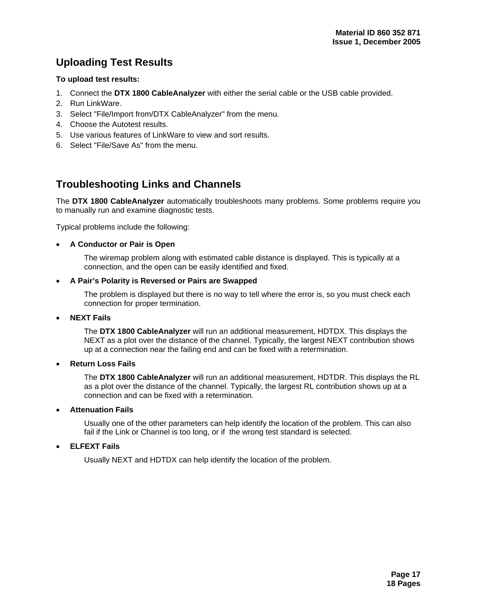# **Uploading Test Results**

### **To upload test results:**

- 1. Connect the **DTX 1800 CableAnalyzer** with either the serial cable or the USB cable provided.
- 2. Run LinkWare.
- 3. Select "File/Import from/DTX CableAnalyzer" from the menu.
- 4. Choose the Autotest results.
- 5. Use various features of LinkWare to view and sort results.
- 6. Select "File/Save As" from the menu.

# **Troubleshooting Links and Channels**

The **DTX 1800 CableAnalyzer** automatically troubleshoots many problems. Some problems require you to manually run and examine diagnostic tests.

Typical problems include the following:

#### • **A Conductor or Pair is Open**

The wiremap problem along with estimated cable distance is displayed. This is typically at a connection, and the open can be easily identified and fixed.

#### • **A Pair's Polarity is Reversed or Pairs are Swapped**

The problem is displayed but there is no way to tell where the error is, so you must check each connection for proper termination.

• **NEXT Fails**

The **DTX 1800 CableAnalyzer** will run an additional measurement, HDTDX. This displays the NEXT as a plot over the distance of the channel. Typically, the largest NEXT contribution shows up at a connection near the failing end and can be fixed with a retermination.

• **Return Loss Fails**

The **DTX 1800 CableAnalyzer** will run an additional measurement, HDTDR. This displays the RL as a plot over the distance of the channel. Typically, the largest RL contribution shows up at a connection and can be fixed with a retermination.

• **Attenuation Fails**

Usually one of the other parameters can help identify the location of the problem. This can also fail if the Link or Channel is too long, or if the wrong test standard is selected.

### • **ELFEXT Fails**

Usually NEXT and HDTDX can help identify the location of the problem.